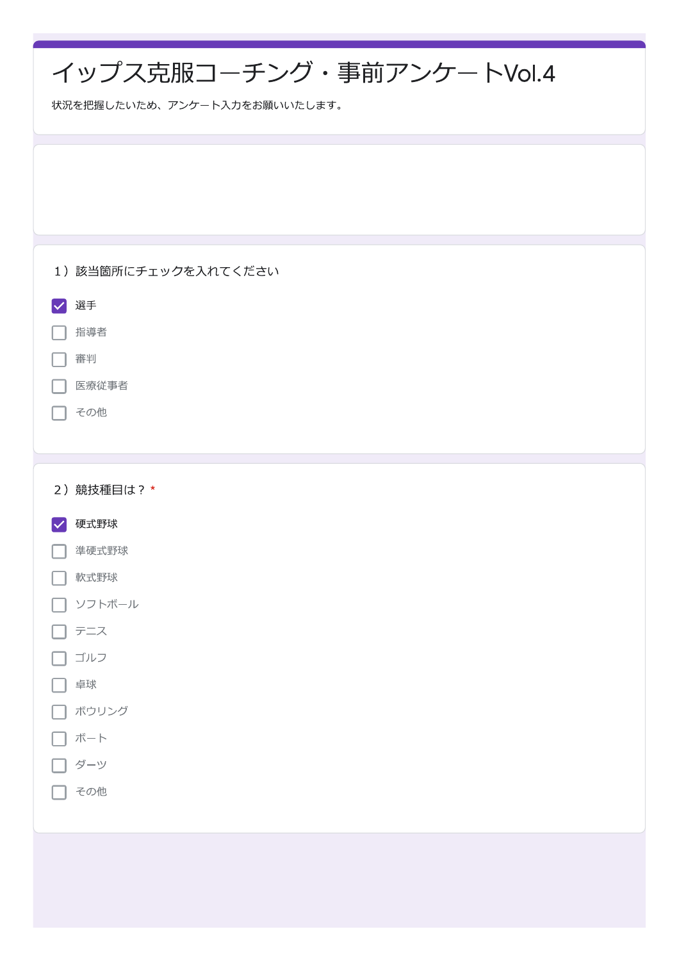| イップス克服コーチング·事前アンケートVol.4<br>状況を把握したいため、アンケート入力をお願いいたします。                                                                                             |  |  |  |
|------------------------------------------------------------------------------------------------------------------------------------------------------|--|--|--|
|                                                                                                                                                      |  |  |  |
| 1) 該当箇所にチェックを入れてください<br>選手<br>$\overline{\vee}$<br>指導者<br>審判<br>医療従事者<br>その他                                                                         |  |  |  |
| 2) 競技種目は? *<br>硬式野球<br>$\blacktriangledown$<br>準硬式野球<br>$\overline{\phantom{0}}$<br>軟式野球<br>ソフトボール<br>テニス<br>ゴルフ<br>卓球<br>ボウリング<br>ボート<br>ダーツ<br>その他 |  |  |  |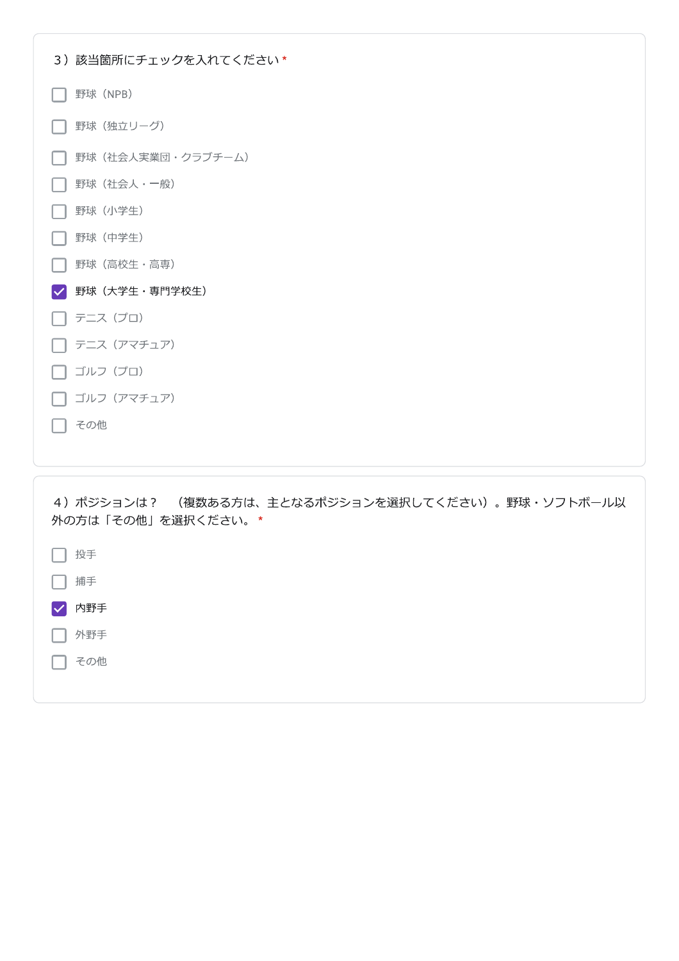| 3) 該当箇所にチェックを入れてください* |
|-----------------------|
| 野球 (NPB)              |
| 野球 (独立リーグ)            |
| 野球 (社会人実業団・クラブチーム)    |
| 野球(社会人·一般)            |
| 野球 (小学生)              |
| 野球 (中学生)              |
| 野球(高校生·高専)            |
| 野球(大学生・専門学校生)<br>V    |
| テニス(プロ)               |
| テニス (アマチュア)           |
| ゴルフ(プロ)               |
| ゴルフ (アマチュア)           |
| その他                   |
|                       |
|                       |

4) ポジションは? (複数ある方は、主となるポジションを選択してください)。野球・ソフトボール以 外の方は「その他」を選択ください。\*

| 投手                          |  |  |
|-----------------------------|--|--|
| 捕手                          |  |  |
| 内野手<br>$\blacktriangledown$ |  |  |
| 外野手                         |  |  |
| その他                         |  |  |
|                             |  |  |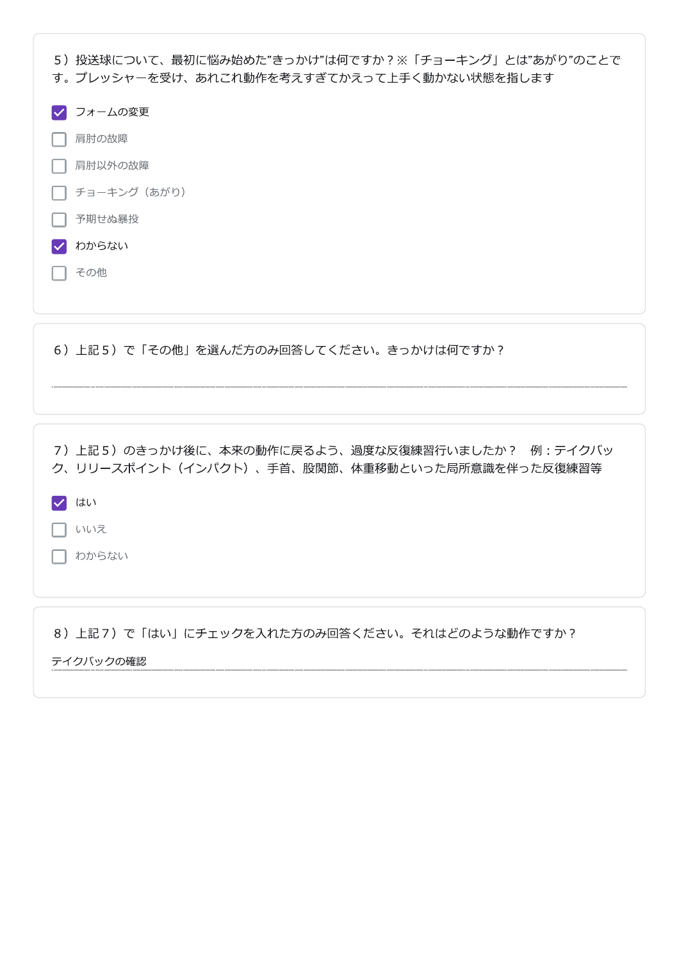| 5)投送球について、最初に悩み始めた"きっかけ"は何ですか?※「チョーキング」とは"あがり"のことで<br>す。プレッシャーを受け、あれこれ動作を考えすぎてかえって上手く動かない状態を指します |  |  |  |  |
|--------------------------------------------------------------------------------------------------|--|--|--|--|
| フォームの変更                                                                                          |  |  |  |  |
| 肩肘の故障                                                                                            |  |  |  |  |
| 肩肘以外の故障                                                                                          |  |  |  |  |
| チョーキング (あがり)                                                                                     |  |  |  |  |
| 予期せぬ暴投                                                                                           |  |  |  |  |
| わからない                                                                                            |  |  |  |  |
| その他                                                                                              |  |  |  |  |
|                                                                                                  |  |  |  |  |

6) 上記5) で「その他」を選んだ方のみ回答してください。きっかけは何ですか?

7) 上記5) のきっかけ後に、本来の動作に戻るよう、過度な反復練習行いましたか? 例:テイクバッ ク、リリースポイント(インパクト)、手首、股関節、体重移動といった局所意識を伴った反復練習等

 $\sqrt{\frac{1}{10}}$ 

□ いいえ

□ わからない

8) 上記7) で「はい」にチェックを入れた方のみ回答ください。それはどのような動作ですか?

テイクバックの確認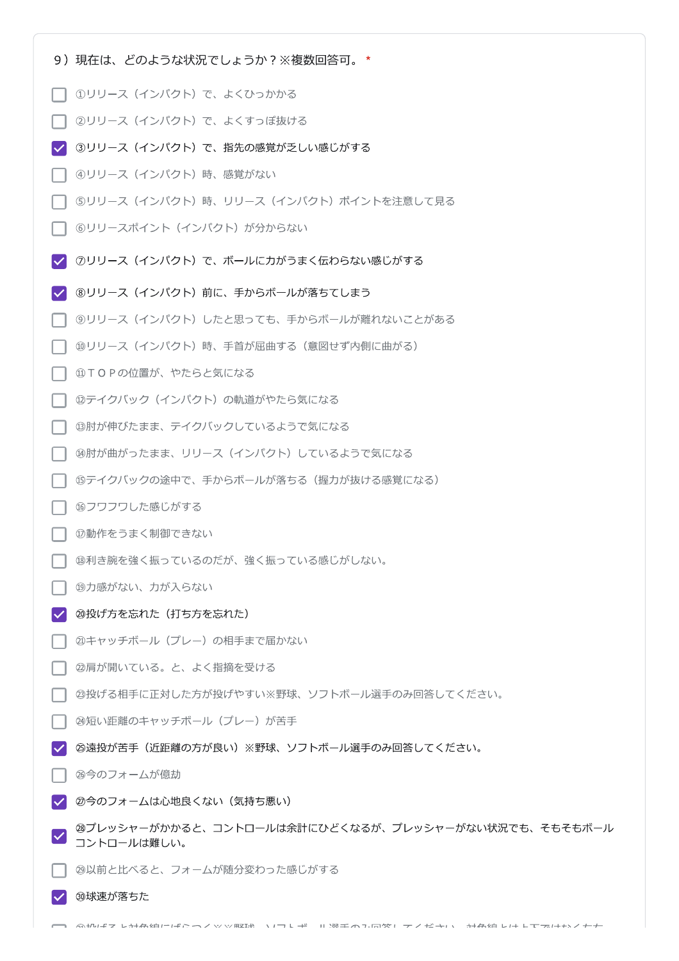- 9) 現在は、どのような状況でしょうか?※複数回答可。\*
- □ ①リリース (インパクト) で、よくひっかかる
- 2リリース (インパクト)で、よくすっぽ抜ける
- 3リリース (インパクト) で、指先の感覚が乏しい感じがする
- 4)リリース (インパクト) 時、感覚がない
- ⑤リリース (インパクト) 時、リリース (インパクト) ポイントを注意して見る
- ヿ ⑥リリースポイント(インパクト)が分からない
- √ ⑦リリース (インパクト) で、ボールに力がうまく伝わらない感じがする
- √ 8リリース (インパクト) 前に、手からボールが落ちてしまう
- ⑨リリース(インパクト)したと思っても、手からボールが離れないことがある
- 10リリース (インパクト) 時、手首が屈曲する (意図せず内側に曲がる)
- 10TOPの位置が、やたらと気になる
- **12テイクバック (インパクト) の軌道がやたら気になる**
- **⑬肘が伸びたまま、テイクバックしているようで気になる**
- ⑭肘が曲がったまま、リリース(インパクト)しているようで気になる
- ⑮テイクバックの途中で、手からボールが落ちる(握力が抜ける感覚になる)
- **16フワフワした感じがする**
- ⑰動作をうまく制御できない
- **B利き腕を強く振っているのだが、強く振っている感じがしない。**
- 19力感がない、力が入らない
- √ 20投げ方を忘れた (打ち方を忘れた)
- 21キャッチボール (プレー) の相手まで届かない
- 2肩が開いている。と、よく指摘を受ける
- **23投げる相手に正対した方が投げやすい※野球、ソフトボール選手のみ回答してください。**
- **24短い距離のキャッチボール (プレー) が苦手**
- **@遠投が苦手(近距離の方が良い)※野球、ソフトボール選手のみ回答してください。**  $\overline{\mathbf{v}}$
- 26今のフォームが億劫
- √ 2今のフォームは心地良くない (気持ち悪い)
- 28プレッシャーがかかると、コントロールは余計にひどくなるが、プレッシャーがない状況でも、そもそもボール コントロールは難しい。
- **29以前と比べると、フォームが随分変わった感じがする**
- √ 30球速が落ちた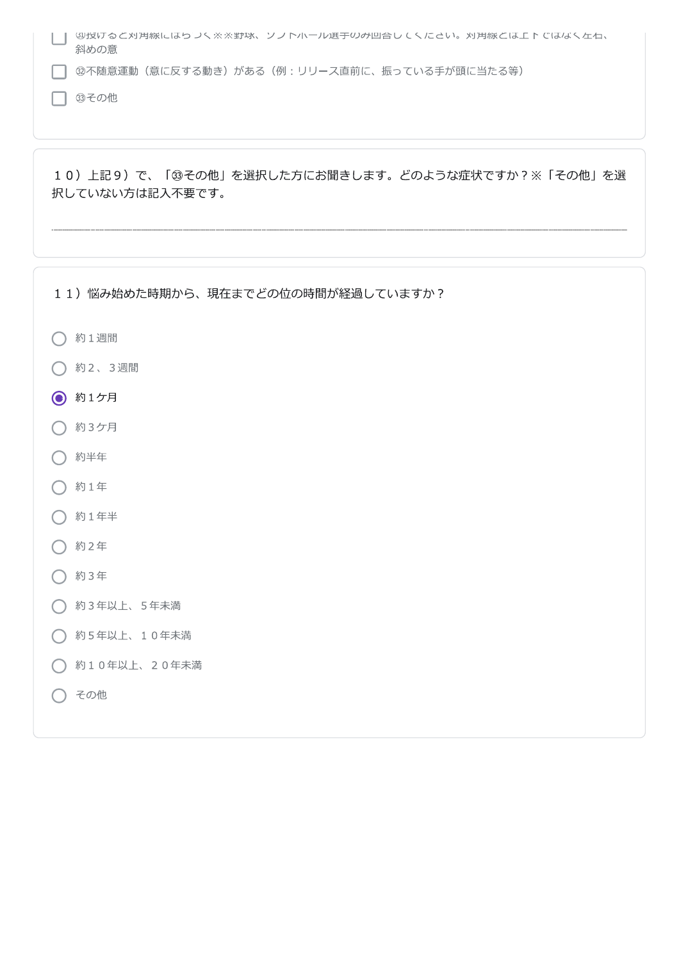|      | - 切技げると刈用旅にはりフく※※野球、ソフト小ール選于のみ凹合してくにさい。刈用旅とは上下ではなく左石、 |
|------|-------------------------------------------------------|
| 斜めの意 |                                                       |
|      |                                                       |

ヿ @不随意運動(意に反する動き)がある(例:リリース直前に、振っている手が頭に当たる等)

□ 33その他

10) 上記9) で、「3その他」を選択した方にお聞きします。どのような症状ですか?※「その他」を選 択していない方は記入不要です。

11) 悩み始めた時期から、現在までどの位の時間が経過していますか?

- 約1週間
- 約2、3週間
- **◎** 約1ケ月
- 約3ケ月
- 約半年
- 約1年
- 約1年半
- 約2年
- 約3年
- 約3年以上、5年未満
- ◯ 約5年以上、10年未満
- 1 約10年以上、20年未満
- その他